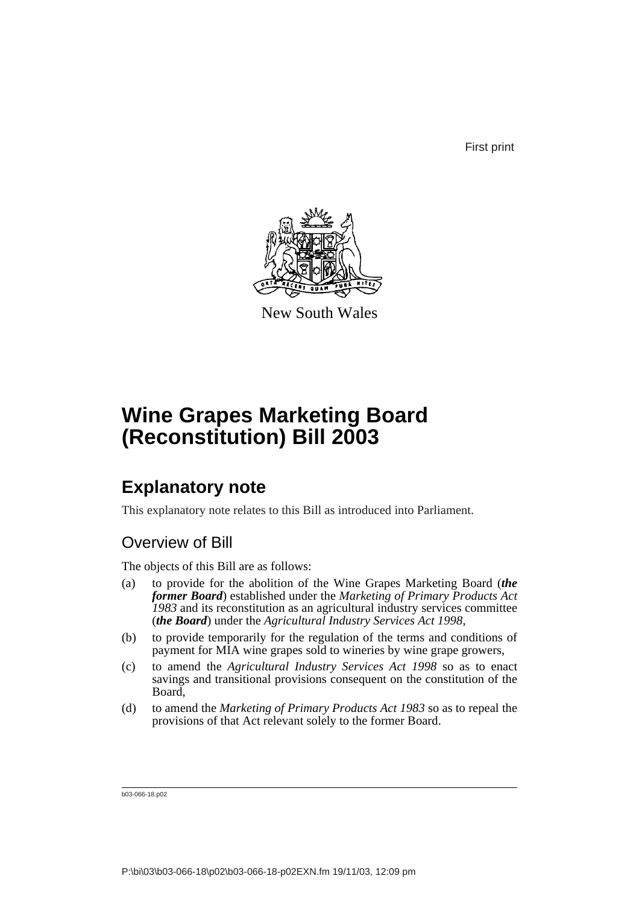First print



New South Wales

# **Wine Grapes Marketing Board (Reconstitution) Bill 2003**

## **Explanatory note**

This explanatory note relates to this Bill as introduced into Parliament.

## Overview of Bill

The objects of this Bill are as follows:

- (a) to provide for the abolition of the Wine Grapes Marketing Board (*the former Board*) established under the *Marketing of Primary Products Act 1983* and its reconstitution as an agricultural industry services committee (*the Board*) under the *Agricultural Industry Services Act 1998*,
- (b) to provide temporarily for the regulation of the terms and conditions of payment for MIA wine grapes sold to wineries by wine grape growers,
- (c) to amend the *Agricultural Industry Services Act 1998* so as to enact savings and transitional provisions consequent on the constitution of the Board,
- (d) to amend the *Marketing of Primary Products Act 1983* so as to repeal the provisions of that Act relevant solely to the former Board.

b03-066-18.p02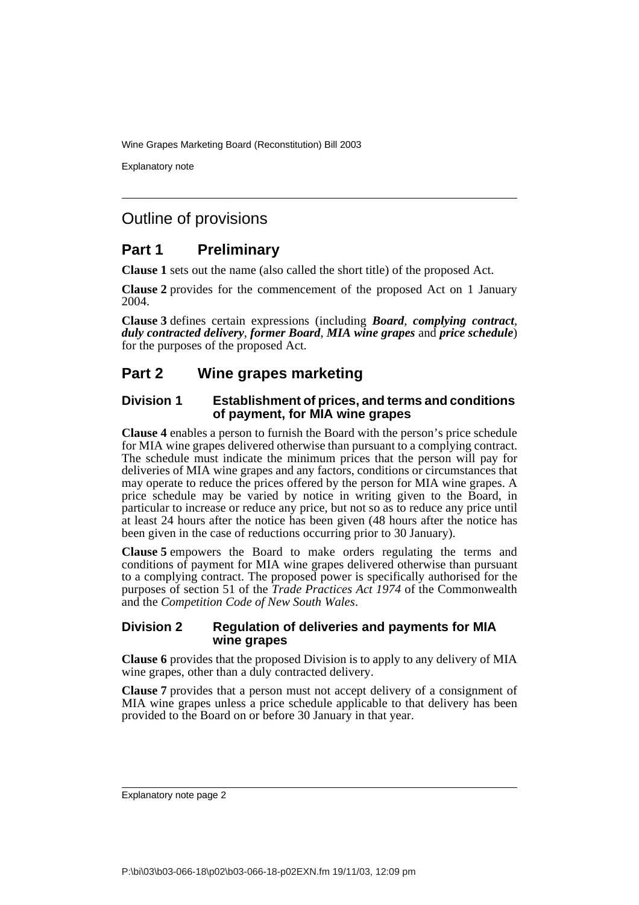Explanatory note

## Outline of provisions

### **Part 1 Preliminary**

**Clause 1** sets out the name (also called the short title) of the proposed Act.

**Clause 2** provides for the commencement of the proposed Act on 1 January 2004.

**Clause 3** defines certain expressions (including *Board*, *complying contract*, *duly contracted delivery*, *former Board*, *MIA wine grapes* and *price schedule*) for the purposes of the proposed Act.

### **Part 2 Wine grapes marketing**

#### **Division 1 Establishment of prices, and terms and conditions of payment, for MIA wine grapes**

**Clause 4** enables a person to furnish the Board with the person's price schedule for MIA wine grapes delivered otherwise than pursuant to a complying contract. The schedule must indicate the minimum prices that the person will pay for deliveries of MIA wine grapes and any factors, conditions or circumstances that may operate to reduce the prices offered by the person for MIA wine grapes. A price schedule may be varied by notice in writing given to the Board, in particular to increase or reduce any price, but not so as to reduce any price until at least 24 hours after the notice has been given (48 hours after the notice has been given in the case of reductions occurring prior to 30 January).

**Clause 5** empowers the Board to make orders regulating the terms and conditions of payment for MIA wine grapes delivered otherwise than pursuant to a complying contract. The proposed power is specifically authorised for the purposes of section 51 of the *Trade Practices Act 1974* of the Commonwealth and the *Competition Code of New South Wales*.

#### **Division 2 Regulation of deliveries and payments for MIA wine grapes**

**Clause 6** provides that the proposed Division is to apply to any delivery of MIA wine grapes, other than a duly contracted delivery.

**Clause 7** provides that a person must not accept delivery of a consignment of MIA wine grapes unless a price schedule applicable to that delivery has been provided to the Board on or before 30 January in that year.

Explanatory note page 2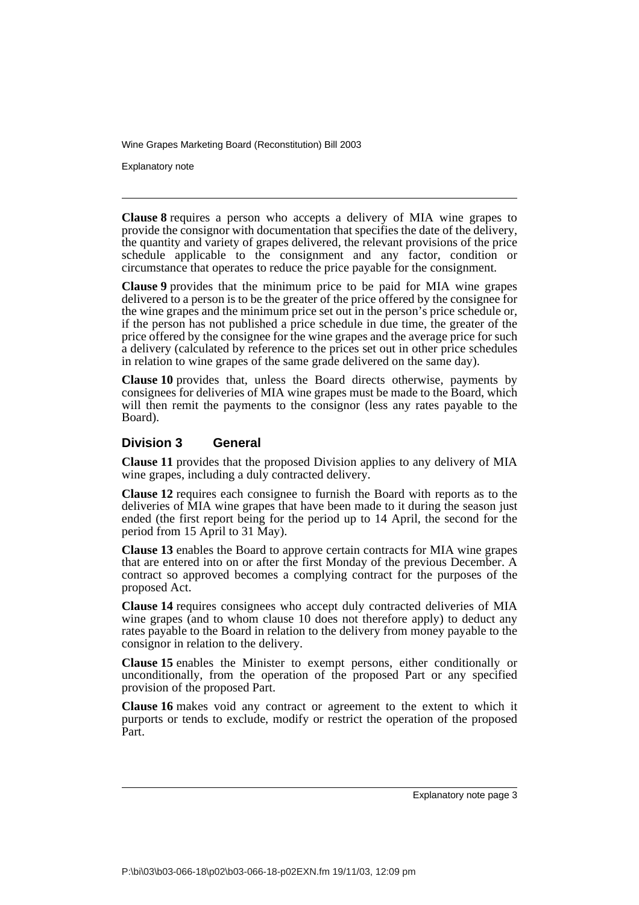Explanatory note

**Clause 8** requires a person who accepts a delivery of MIA wine grapes to provide the consignor with documentation that specifies the date of the delivery, the quantity and variety of grapes delivered, the relevant provisions of the price schedule applicable to the consignment and any factor, condition or circumstance that operates to reduce the price payable for the consignment.

**Clause 9** provides that the minimum price to be paid for MIA wine grapes delivered to a person is to be the greater of the price offered by the consignee for the wine grapes and the minimum price set out in the person's price schedule or, if the person has not published a price schedule in due time, the greater of the price offered by the consignee for the wine grapes and the average price for such a delivery (calculated by reference to the prices set out in other price schedules in relation to wine grapes of the same grade delivered on the same day).

**Clause 10** provides that, unless the Board directs otherwise, payments by consignees for deliveries of MIA wine grapes must be made to the Board, which will then remit the payments to the consignor (less any rates payable to the Board).

#### **Division 3 General**

**Clause 11** provides that the proposed Division applies to any delivery of MIA wine grapes, including a duly contracted delivery.

**Clause 12** requires each consignee to furnish the Board with reports as to the deliveries of MIA wine grapes that have been made to it during the season just ended (the first report being for the period up to 14 April, the second for the period from 15 April to 31 May).

**Clause 13** enables the Board to approve certain contracts for MIA wine grapes that are entered into on or after the first Monday of the previous December. A contract so approved becomes a complying contract for the purposes of the proposed Act.

**Clause 14** requires consignees who accept duly contracted deliveries of MIA wine grapes (and to whom clause 10 does not therefore apply) to deduct any rates payable to the Board in relation to the delivery from money payable to the consignor in relation to the delivery.

**Clause 15** enables the Minister to exempt persons, either conditionally or unconditionally, from the operation of the proposed Part or any specified provision of the proposed Part.

**Clause 16** makes void any contract or agreement to the extent to which it purports or tends to exclude, modify or restrict the operation of the proposed Part.

Explanatory note page 3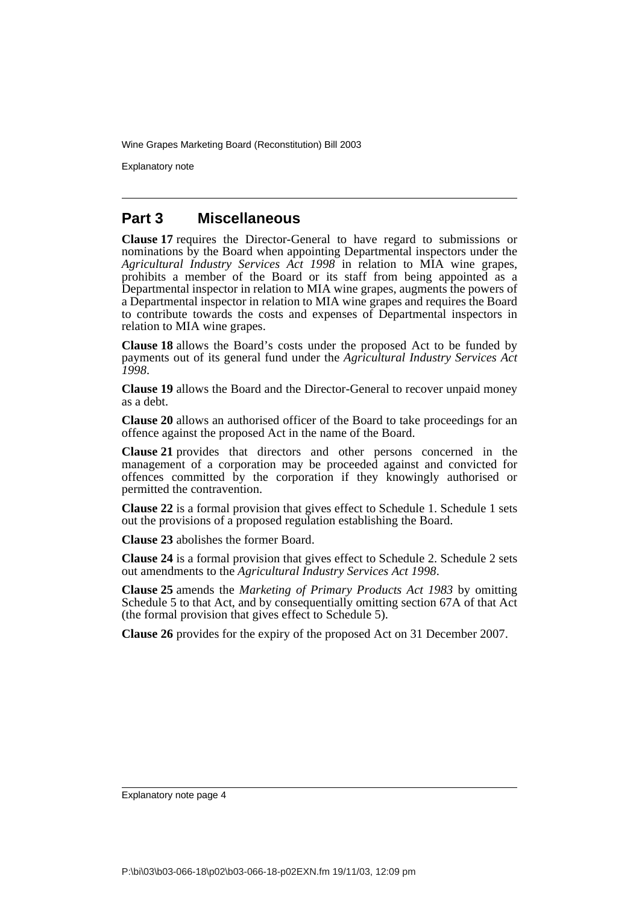Explanatory note

#### **Part 3 Miscellaneous**

**Clause 17** requires the Director-General to have regard to submissions or nominations by the Board when appointing Departmental inspectors under the *Agricultural Industry Services Act 1998* in relation to MIA wine grapes, prohibits a member of the Board or its staff from being appointed as a Departmental inspector in relation to MIA wine grapes, augments the powers of a Departmental inspector in relation to MIA wine grapes and requires the Board to contribute towards the costs and expenses of Departmental inspectors in relation to MIA wine grapes.

**Clause 18** allows the Board's costs under the proposed Act to be funded by payments out of its general fund under the *Agricultural Industry Services Act 1998*.

**Clause 19** allows the Board and the Director-General to recover unpaid money as a debt.

**Clause 20** allows an authorised officer of the Board to take proceedings for an offence against the proposed Act in the name of the Board.

**Clause 21** provides that directors and other persons concerned in the management of a corporation may be proceeded against and convicted for offences committed by the corporation if they knowingly authorised or permitted the contravention.

**Clause 22** is a formal provision that gives effect to Schedule 1. Schedule 1 sets out the provisions of a proposed regulation establishing the Board.

**Clause 23** abolishes the former Board.

**Clause 24** is a formal provision that gives effect to Schedule 2. Schedule 2 sets out amendments to the *Agricultural Industry Services Act 1998*.

**Clause 25** amends the *Marketing of Primary Products Act 1983* by omitting Schedule 5 to that Act, and by consequentially omitting section 67A of that Act (the formal provision that gives effect to Schedule 5).

**Clause 26** provides for the expiry of the proposed Act on 31 December 2007.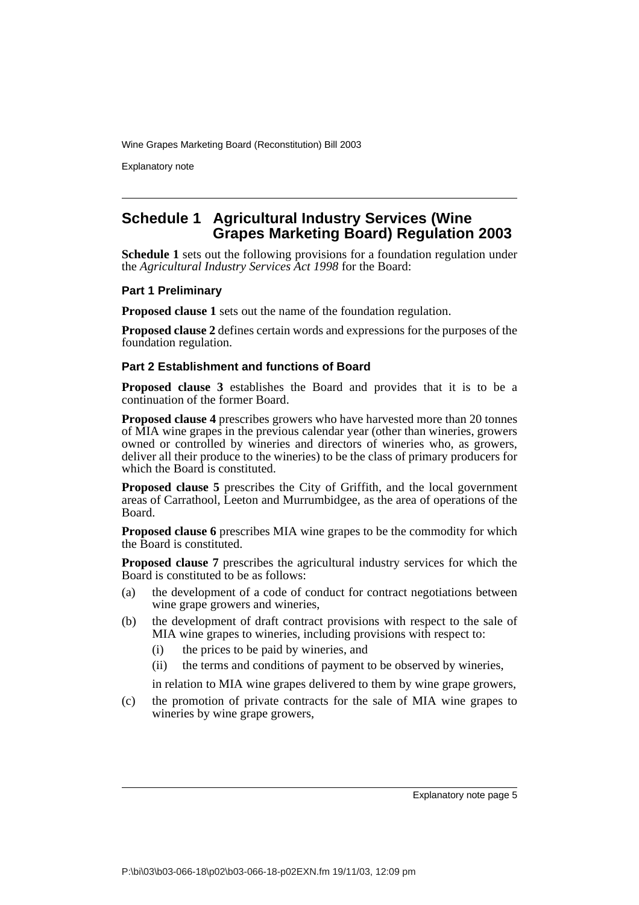Explanatory note

#### **Schedule 1 Agricultural Industry Services (Wine Grapes Marketing Board) Regulation 2003**

**Schedule 1** sets out the following provisions for a foundation regulation under the *Agricultural Industry Services Act 1998* for the Board:

#### **Part 1 Preliminary**

**Proposed clause 1** sets out the name of the foundation regulation.

**Proposed clause 2** defines certain words and expressions for the purposes of the foundation regulation.

#### **Part 2 Establishment and functions of Board**

**Proposed clause 3** establishes the Board and provides that it is to be a continuation of the former Board.

**Proposed clause 4** prescribes growers who have harvested more than 20 tonnes of MIA wine grapes in the previous calendar year (other than wineries, growers owned or controlled by wineries and directors of wineries who, as growers, deliver all their produce to the wineries) to be the class of primary producers for which the Board is constituted.

**Proposed clause 5** prescribes the City of Griffith, and the local government areas of Carrathool, Leeton and Murrumbidgee, as the area of operations of the Board.

**Proposed clause 6** prescribes MIA wine grapes to be the commodity for which the Board is constituted.

**Proposed clause 7** prescribes the agricultural industry services for which the Board is constituted to be as follows:

- (a) the development of a code of conduct for contract negotiations between wine grape growers and wineries,
- (b) the development of draft contract provisions with respect to the sale of MIA wine grapes to wineries, including provisions with respect to:
	- (i) the prices to be paid by wineries, and
	- (ii) the terms and conditions of payment to be observed by wineries,

in relation to MIA wine grapes delivered to them by wine grape growers,

(c) the promotion of private contracts for the sale of MIA wine grapes to wineries by wine grape growers,

Explanatory note page 5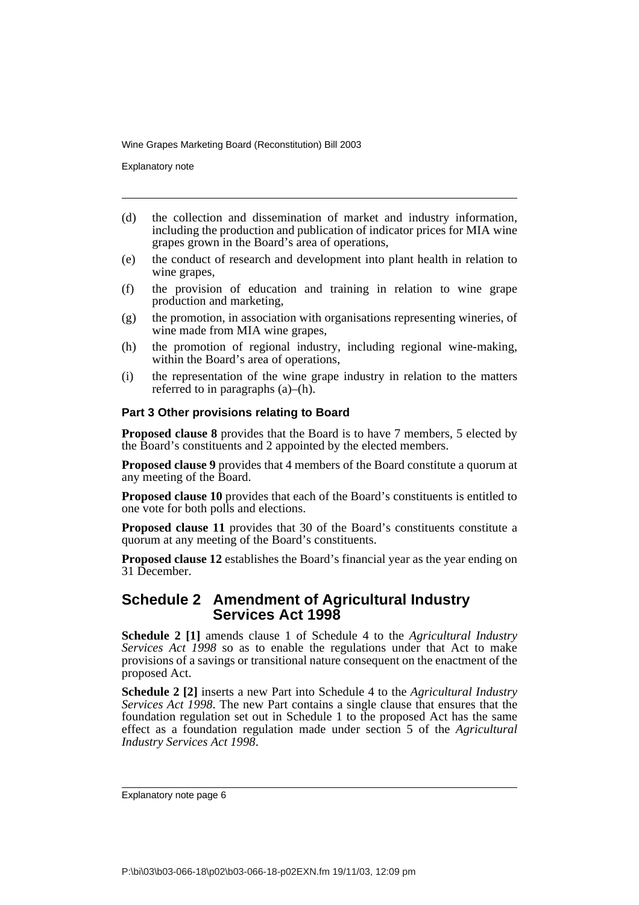Explanatory note

- (d) the collection and dissemination of market and industry information, including the production and publication of indicator prices for MIA wine grapes grown in the Board's area of operations,
- (e) the conduct of research and development into plant health in relation to wine grapes,
- (f) the provision of education and training in relation to wine grape production and marketing,
- (g) the promotion, in association with organisations representing wineries, of wine made from MIA wine grapes,
- (h) the promotion of regional industry, including regional wine-making, within the Board's area of operations,
- (i) the representation of the wine grape industry in relation to the matters referred to in paragraphs (a)–(h).

#### **Part 3 Other provisions relating to Board**

**Proposed clause 8** provides that the Board is to have 7 members, 5 elected by the Board's constituents and 2 appointed by the elected members.

**Proposed clause 9** provides that 4 members of the Board constitute a quorum at any meeting of the Board.

**Proposed clause 10** provides that each of the Board's constituents is entitled to one vote for both polls and elections.

**Proposed clause 11** provides that 30 of the Board's constituents constitute a quorum at any meeting of the Board's constituents.

**Proposed clause 12** establishes the Board's financial year as the year ending on 31 December.

#### **Schedule 2 Amendment of Agricultural Industry Services Act 1998**

**Schedule 2 [1]** amends clause 1 of Schedule 4 to the *Agricultural Industry Services Act 1998* so as to enable the regulations under that Act to make provisions of a savings or transitional nature consequent on the enactment of the proposed Act.

**Schedule 2 [2]** inserts a new Part into Schedule 4 to the *Agricultural Industry Services Act 1998*. The new Part contains a single clause that ensures that the foundation regulation set out in Schedule 1 to the proposed Act has the same effect as a foundation regulation made under section 5 of the *Agricultural Industry Services Act 1998*.

Explanatory note page 6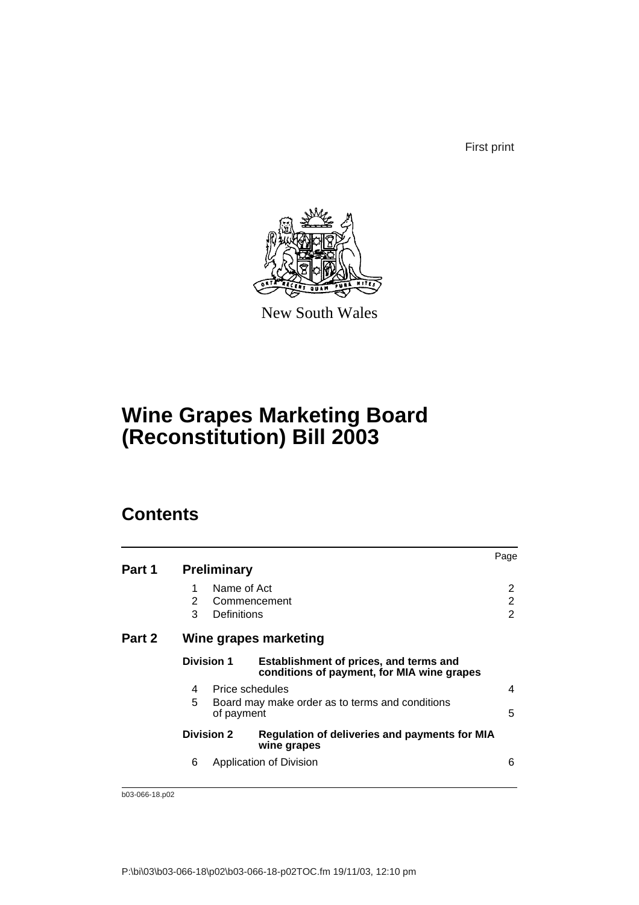First print



New South Wales

## **Wine Grapes Marketing Board (Reconstitution) Bill 2003**

## **Contents**

| Part 1 |             | <b>Preliminary</b>                         |                                                                                      | Page                     |
|--------|-------------|--------------------------------------------|--------------------------------------------------------------------------------------|--------------------------|
|        | 1<br>2<br>3 | Name of Act<br>Commencement<br>Definitions |                                                                                      | 2<br>2<br>$\overline{2}$ |
| Part 2 |             |                                            | Wine grapes marketing                                                                |                          |
|        |             | <b>Division 1</b>                          | Establishment of prices, and terms and<br>conditions of payment, for MIA wine grapes |                          |
|        | 4<br>5      | Price schedules<br>of payment              | Board may make order as to terms and conditions                                      | 4<br>5                   |
|        |             | <b>Division 2</b>                          | <b>Regulation of deliveries and payments for MIA</b><br>wine grapes                  |                          |
|        | 6           |                                            | Application of Division                                                              | 6                        |

b03-066-18.p02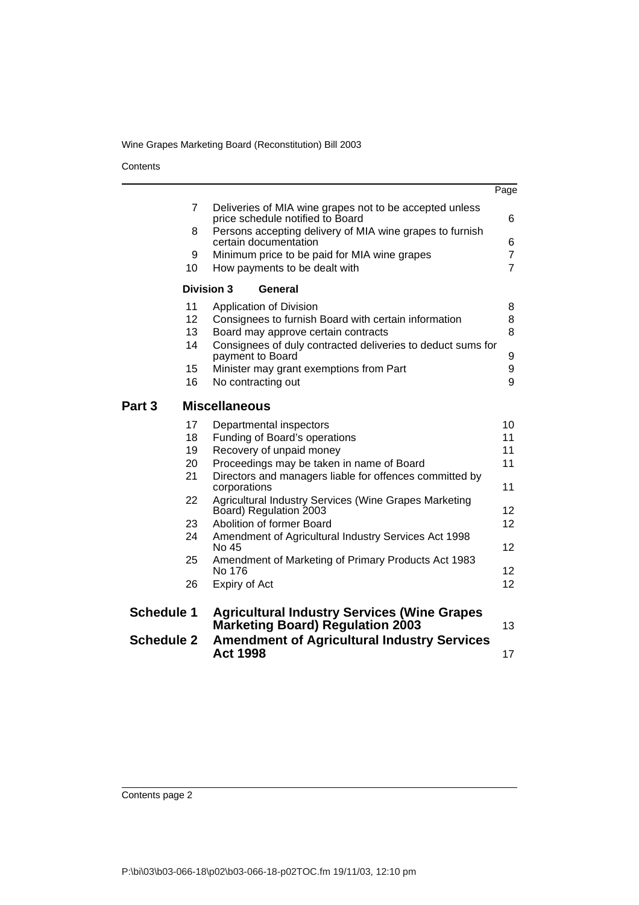**Contents** 

|                   |                                                                                             | Page            |
|-------------------|---------------------------------------------------------------------------------------------|-----------------|
| $\overline{7}$    | Deliveries of MIA wine grapes not to be accepted unless<br>price schedule notified to Board | 6               |
| 8                 | Persons accepting delivery of MIA wine grapes to furnish<br>certain documentation           | 6               |
| 9                 | Minimum price to be paid for MIA wine grapes                                                | $\overline{7}$  |
| 10                | How payments to be dealt with                                                               | $\overline{7}$  |
| <b>Division 3</b> | General                                                                                     |                 |
| 11                | Application of Division                                                                     | 8               |
| 12                | Consignees to furnish Board with certain information                                        | 8               |
| 13                | Board may approve certain contracts                                                         | 8               |
| 14                | Consignees of duly contracted deliveries to deduct sums for<br>payment to Board             | 9               |
| 15                | Minister may grant exemptions from Part                                                     | 9               |
| 16                | No contracting out                                                                          | 9               |
| Part 3            | <b>Miscellaneous</b>                                                                        |                 |
| 17                | Departmental inspectors                                                                     | 10              |
| 18                | Funding of Board's operations                                                               | 11              |
| 19                | Recovery of unpaid money                                                                    | 11              |
| 20                | Proceedings may be taken in name of Board                                                   | 11              |
| 21                | Directors and managers liable for offences committed by<br>corporations                     | 11              |
| 22                | Agricultural Industry Services (Wine Grapes Marketing<br>Board) Regulation 2003             | 12 <sup>2</sup> |
| 23                | Abolition of former Board                                                                   | 12 <sup>2</sup> |
| 24                | Amendment of Agricultural Industry Services Act 1998<br>No 45                               | 12              |
| 25                | Amendment of Marketing of Primary Products Act 1983<br>No 176                               | 12 <sup>2</sup> |
| 26                | Expiry of Act                                                                               | 12 <sup>2</sup> |
| <b>Schedule 1</b> | <b>Agricultural Industry Services (Wine Grapes</b>                                          |                 |
|                   | <b>Marketing Board) Regulation 2003</b>                                                     | 13              |
| <b>Schedule 2</b> | <b>Amendment of Agricultural Industry Services</b><br><b>Act 1998</b>                       | 17              |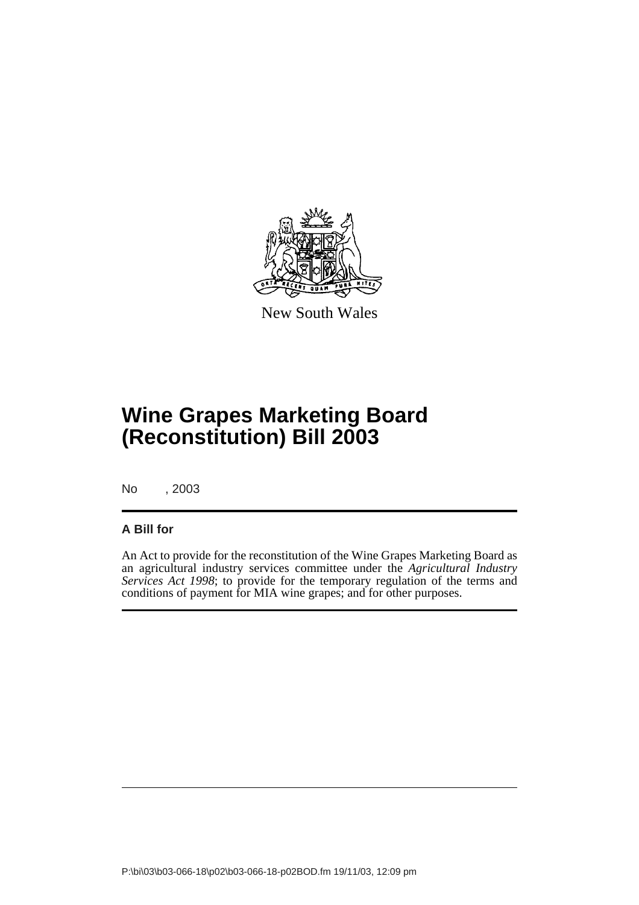

New South Wales

# **Wine Grapes Marketing Board (Reconstitution) Bill 2003**

No , 2003

#### **A Bill for**

An Act to provide for the reconstitution of the Wine Grapes Marketing Board as an agricultural industry services committee under the *Agricultural Industry Services Act 1998*; to provide for the temporary regulation of the terms and conditions of payment for MIA wine grapes; and for other purposes.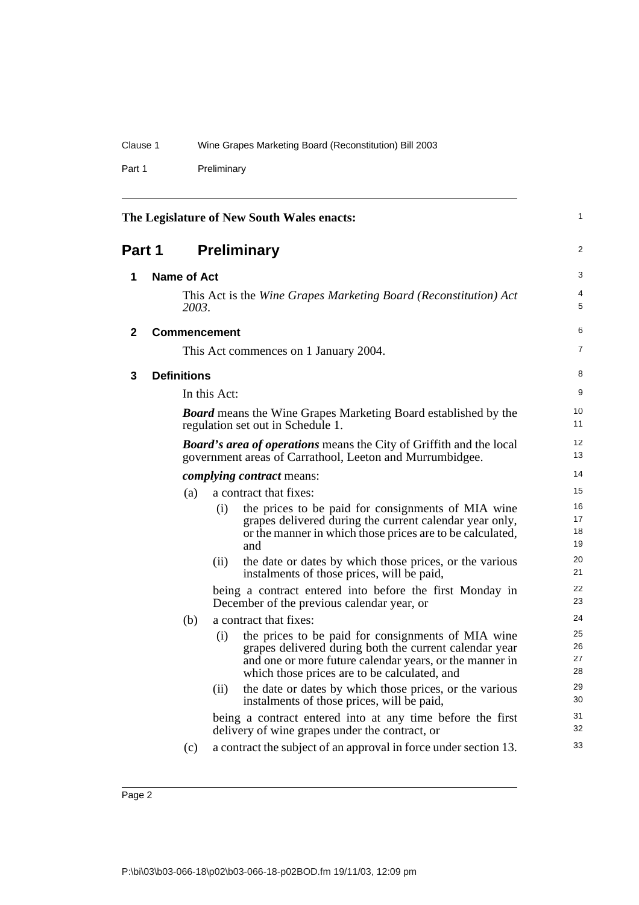Part 1 Preliminary

|        |                    |                     | The Legislature of New South Wales enacts:                                                                                                                                                                              | 1                    |
|--------|--------------------|---------------------|-------------------------------------------------------------------------------------------------------------------------------------------------------------------------------------------------------------------------|----------------------|
| Part 1 |                    |                     | <b>Preliminary</b>                                                                                                                                                                                                      | 2                    |
| 1      | Name of Act        |                     |                                                                                                                                                                                                                         | 3                    |
|        | 2003.              |                     | This Act is the Wine Grapes Marketing Board (Reconstitution) Act                                                                                                                                                        | 4<br>5               |
| 2      |                    | <b>Commencement</b> |                                                                                                                                                                                                                         | 6                    |
|        |                    |                     | This Act commences on 1 January 2004.                                                                                                                                                                                   | $\overline{7}$       |
| 3      | <b>Definitions</b> |                     |                                                                                                                                                                                                                         | 8                    |
|        |                    | In this Act:        |                                                                                                                                                                                                                         | 9                    |
|        |                    |                     | <b>Board</b> means the Wine Grapes Marketing Board established by the<br>regulation set out in Schedule 1.                                                                                                              | 10<br>11             |
|        |                    |                     | <b>Board's area of operations</b> means the City of Griffith and the local<br>government areas of Carrathool, Leeton and Murrumbidgee.                                                                                  | 12<br>13             |
|        |                    |                     | <i>complying contract means:</i>                                                                                                                                                                                        | 14                   |
|        | (a)                |                     | a contract that fixes:                                                                                                                                                                                                  | 15                   |
|        |                    | (i)                 | the prices to be paid for consignments of MIA wine<br>grapes delivered during the current calendar year only,<br>or the manner in which those prices are to be calculated,<br>and                                       | 16<br>17<br>18<br>19 |
|        |                    | (ii)                | the date or dates by which those prices, or the various<br>instalments of those prices, will be paid,                                                                                                                   | 20<br>21             |
|        |                    |                     | being a contract entered into before the first Monday in<br>December of the previous calendar year, or                                                                                                                  | 22<br>23             |
|        | (b)                |                     | a contract that fixes:                                                                                                                                                                                                  | 24                   |
|        |                    | (i)                 | the prices to be paid for consignments of MIA wine<br>grapes delivered during both the current calendar year<br>and one or more future calendar years, or the manner in<br>which those prices are to be calculated, and | 25<br>26<br>27<br>28 |
|        |                    | (ii)                | the date or dates by which those prices, or the various<br>instalments of those prices, will be paid,                                                                                                                   | 29<br>30             |
|        |                    |                     | being a contract entered into at any time before the first<br>delivery of wine grapes under the contract, or                                                                                                            | 31<br>32             |
|        | (c)                |                     | a contract the subject of an approval in force under section 13.                                                                                                                                                        | 33                   |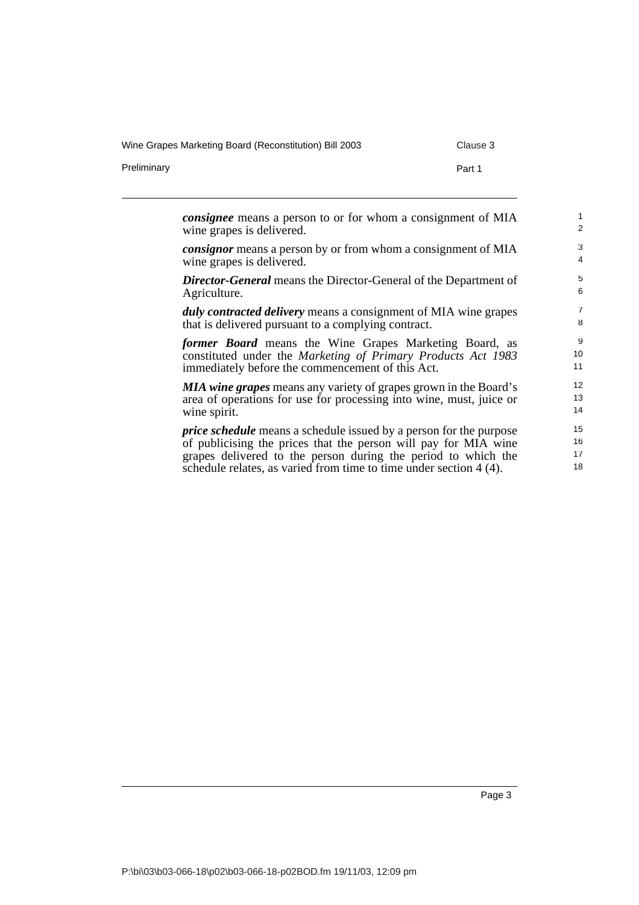Wine Grapes Marketing Board (Reconstitution) Bill 2003 Clause 3

Preliminary **Part 1** 

*consignee* means a person to or for whom a consignment of MIA wine grapes is delivered. *consignor* means a person by or from whom a consignment of MIA wine grapes is delivered. *Director-General* means the Director-General of the Department of Agriculture. *duly contracted delivery* means a consignment of MIA wine grapes that is delivered pursuant to a complying contract. *former Board* means the Wine Grapes Marketing Board, as constituted under the *Marketing of Primary Products Act 1983* immediately before the commencement of this Act. *MIA wine grapes* means any variety of grapes grown in the Board's area of operations for use for processing into wine, must, juice or wine spirit. *price schedule* means a schedule issued by a person for the purpose of publicising the prices that the person will pay for MIA wine grapes delivered to the person during the period to which the schedule relates, as varied from time to time under section 4 (4). 1  $\overline{2}$ 3 4 5 6 7 8 9 10 11 12 13 14 15 16 17 18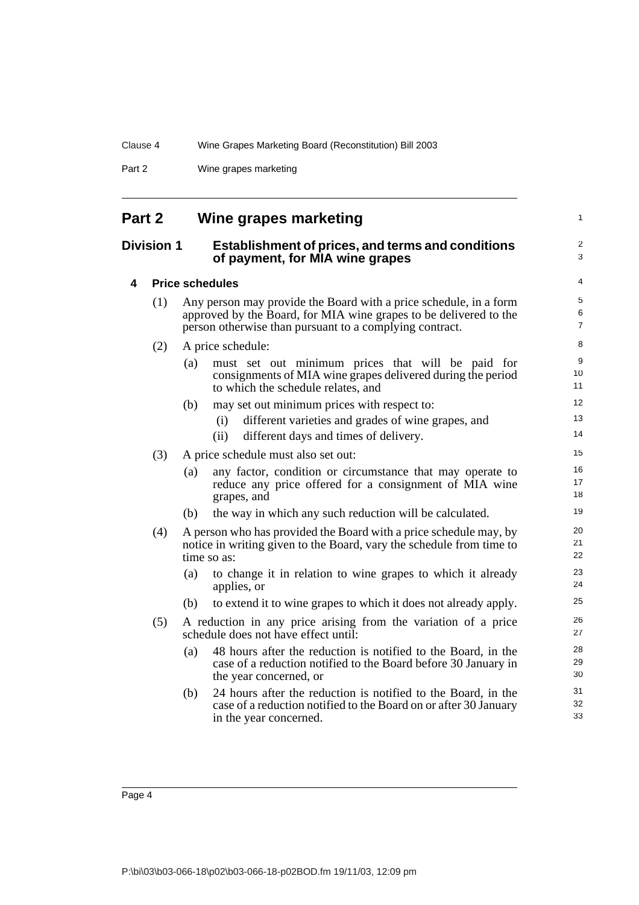Part 2 Wine grapes marketing

| Part 2            |     |     | Wine grapes marketing                                                                                                                                                                             | 1                            |
|-------------------|-----|-----|---------------------------------------------------------------------------------------------------------------------------------------------------------------------------------------------------|------------------------------|
| <b>Division 1</b> |     |     | <b>Establishment of prices, and terms and conditions</b><br>of payment, for MIA wine grapes                                                                                                       | $\overline{\mathbf{c}}$<br>3 |
| 4                 |     |     | <b>Price schedules</b>                                                                                                                                                                            | 4                            |
|                   | (1) |     | Any person may provide the Board with a price schedule, in a form<br>approved by the Board, for MIA wine grapes to be delivered to the<br>person otherwise than pursuant to a complying contract. | 5<br>6<br>$\overline{7}$     |
|                   | (2) |     | A price schedule:                                                                                                                                                                                 | 8                            |
|                   |     | (a) | must set out minimum prices that will be paid for<br>consignments of MIA wine grapes delivered during the period<br>to which the schedule relates, and                                            | 9<br>10<br>11                |
|                   |     | (b) | may set out minimum prices with respect to:                                                                                                                                                       | 12                           |
|                   |     |     | different varieties and grades of wine grapes, and<br>(i)                                                                                                                                         | 13                           |
|                   |     |     | different days and times of delivery.<br>(ii)                                                                                                                                                     | 14                           |
|                   | (3) |     | A price schedule must also set out:                                                                                                                                                               | 15                           |
|                   |     | (a) | any factor, condition or circumstance that may operate to<br>reduce any price offered for a consignment of MIA wine<br>grapes, and                                                                | 16<br>17<br>18               |
|                   |     | (b) | the way in which any such reduction will be calculated.                                                                                                                                           | 19                           |
|                   | (4) |     | A person who has provided the Board with a price schedule may, by<br>notice in writing given to the Board, vary the schedule from time to<br>time so as:                                          | 20<br>21<br>22               |
|                   |     | (a) | to change it in relation to wine grapes to which it already<br>applies, or                                                                                                                        | 23<br>24                     |
|                   |     | (b) | to extend it to wine grapes to which it does not already apply.                                                                                                                                   | 25                           |
|                   | (5) |     | A reduction in any price arising from the variation of a price<br>schedule does not have effect until:                                                                                            | 26<br>27                     |
|                   |     | (a) | 48 hours after the reduction is notified to the Board, in the<br>case of a reduction notified to the Board before 30 January in<br>the year concerned, or                                         | 28<br>29<br>30               |
|                   |     | (b) | 24 hours after the reduction is notified to the Board, in the<br>case of a reduction notified to the Board on or after 30 January<br>in the year concerned.                                       | 31<br>32<br>33               |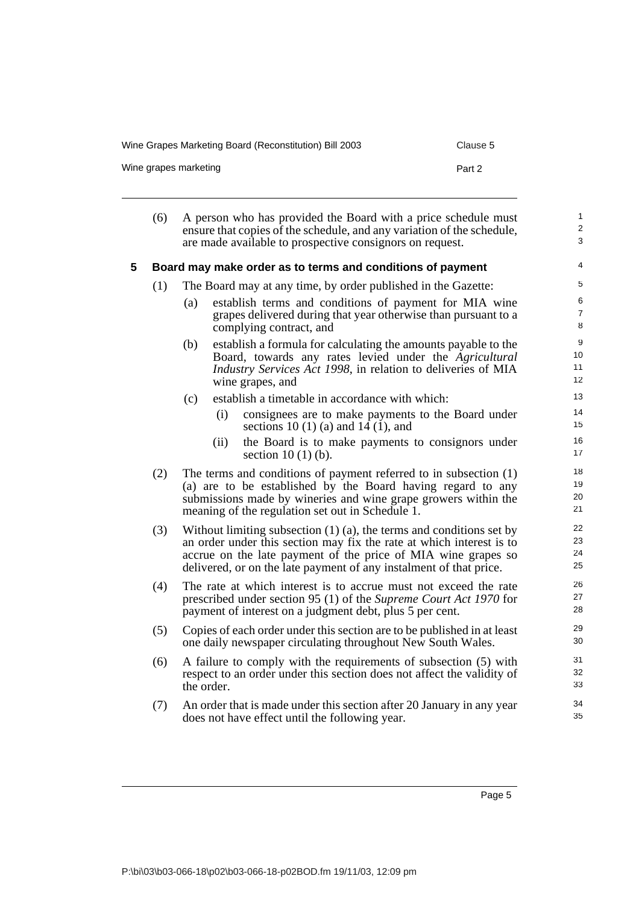Wine Grapes Marketing Board (Reconstitution) Bill 2003 Clause 5

Wine grapes marketing example and the part 2 and 2 Part 2

|   | (6) | A person who has provided the Board with a price schedule must<br>ensure that copies of the schedule, and any variation of the schedule,<br>are made available to prospective consignors on request.                                                                                     | $\mathbf{1}$<br>$\overline{2}$<br>3 |
|---|-----|------------------------------------------------------------------------------------------------------------------------------------------------------------------------------------------------------------------------------------------------------------------------------------------|-------------------------------------|
| 5 |     | Board may make order as to terms and conditions of payment                                                                                                                                                                                                                               | 4                                   |
|   | (1) | The Board may at any time, by order published in the Gazette:                                                                                                                                                                                                                            | 5                                   |
|   |     | establish terms and conditions of payment for MIA wine<br>(a)<br>grapes delivered during that year otherwise than pursuant to a<br>complying contract, and                                                                                                                               | 6<br>$\overline{7}$<br>8            |
|   |     | establish a formula for calculating the amounts payable to the<br>(b)<br>Board, towards any rates levied under the Agricultural<br>Industry Services Act 1998, in relation to deliveries of MIA<br>wine grapes, and                                                                      | 9<br>10<br>11<br>12                 |
|   |     | establish a timetable in accordance with which:<br>(c)                                                                                                                                                                                                                                   | 13                                  |
|   |     | (i)<br>consignees are to make payments to the Board under<br>sections 10 (1) (a) and 14 (1), and                                                                                                                                                                                         | 14<br>15                            |
|   |     | the Board is to make payments to consignors under<br>(ii)<br>section $10(1)(b)$ .                                                                                                                                                                                                        | 16<br>17                            |
|   | (2) | The terms and conditions of payment referred to in subsection $(1)$<br>(a) are to be established by the Board having regard to any<br>submissions made by wineries and wine grape growers within the<br>meaning of the regulation set out in Schedule 1.                                 | 18<br>19<br>20<br>21                |
|   | (3) | Without limiting subsection $(1)$ $(a)$ , the terms and conditions set by<br>an order under this section may fix the rate at which interest is to<br>accrue on the late payment of the price of MIA wine grapes so<br>delivered, or on the late payment of any instalment of that price. | 22<br>23<br>24<br>25                |
|   | (4) | The rate at which interest is to accrue must not exceed the rate<br>prescribed under section 95 (1) of the Supreme Court Act 1970 for<br>payment of interest on a judgment debt, plus 5 per cent.                                                                                        | 26<br>27<br>28                      |
|   | (5) | Copies of each order under this section are to be published in at least<br>one daily newspaper circulating throughout New South Wales.                                                                                                                                                   | 29<br>30                            |
|   | (6) | A failure to comply with the requirements of subsection (5) with<br>respect to an order under this section does not affect the validity of                                                                                                                                               | 31<br>32                            |

(7) An order that is made under this section after 20 January in any year does not have effect until the following year.

Page 5

33 34 35

the order.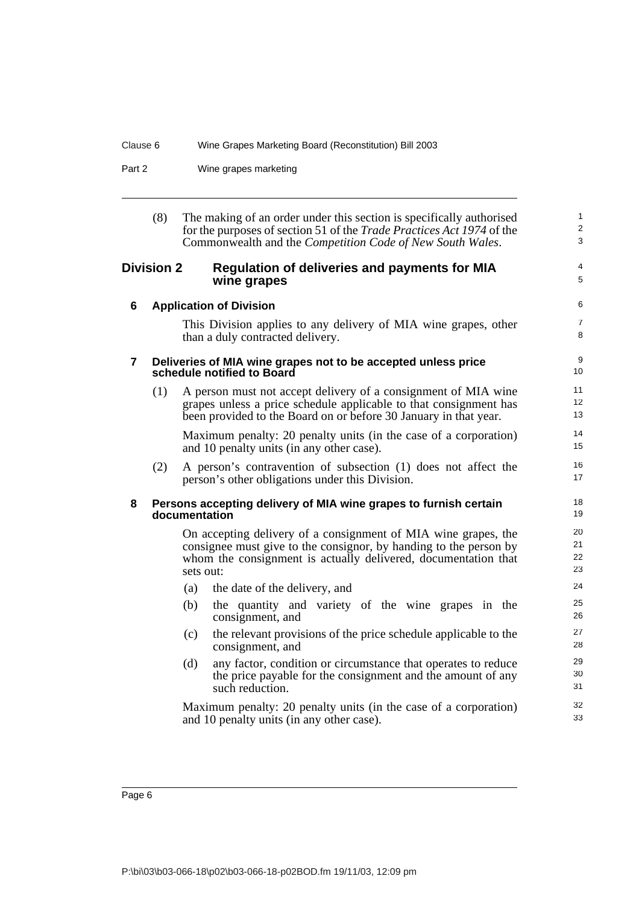Part 2 Wine grapes marketing

| (8) | The making of an order under this section is specifically authorised         |
|-----|------------------------------------------------------------------------------|
|     | for the purposes of section 51 of the <i>Trade Practices Act 1974</i> of the |
|     | Commonwealth and the <i>Competition Code of New South Wales</i> .            |
|     |                                                                              |

1 2 3

4 5

31 32 33

#### **Division 2 Regulation of deliveries and payments for MIA wine grapes**

|   |     |               | 9. apoc                                                                                                                                                                                                 |                      |
|---|-----|---------------|---------------------------------------------------------------------------------------------------------------------------------------------------------------------------------------------------------|----------------------|
| 6 |     |               | <b>Application of Division</b>                                                                                                                                                                          | 6                    |
|   |     |               | This Division applies to any delivery of MIA wine grapes, other<br>than a duly contracted delivery.                                                                                                     | $\overline{7}$<br>8  |
| 7 |     |               | Deliveries of MIA wine grapes not to be accepted unless price<br>schedule notified to Board                                                                                                             | 9<br>10              |
|   | (1) |               | A person must not accept delivery of a consignment of MIA wine<br>grapes unless a price schedule applicable to that consignment has<br>been provided to the Board on or before 30 January in that year. | 11<br>12<br>13       |
|   |     |               | Maximum penalty: 20 penalty units (in the case of a corporation)<br>and 10 penalty units (in any other case).                                                                                           | 14<br>15             |
|   | (2) |               | A person's contravention of subsection (1) does not affect the<br>person's other obligations under this Division.                                                                                       | 16<br>17             |
| 8 |     | documentation | Persons accepting delivery of MIA wine grapes to furnish certain                                                                                                                                        | 18<br>19             |
|   |     | sets out:     | On accepting delivery of a consignment of MIA wine grapes, the<br>consignee must give to the consignor, by handing to the person by<br>whom the consignment is actually delivered, documentation that   | 20<br>21<br>22<br>23 |
|   |     | (a)           | the date of the delivery, and                                                                                                                                                                           | 24                   |
|   |     | (b)           | the quantity and variety of the wine grapes in the<br>consignment, and                                                                                                                                  | 25<br>26             |
|   |     | (c)           | the relevant provisions of the price schedule applicable to the<br>consignment, and                                                                                                                     | 27<br>28             |
|   |     | (d)           | any factor, condition or circumstance that operates to reduce<br>the price payable for the consignment and the amount of any                                                                            | 29<br>30             |

Maximum penalty: 20 penalty units (in the case of a corporation) and 10 penalty units (in any other case).

such reduction.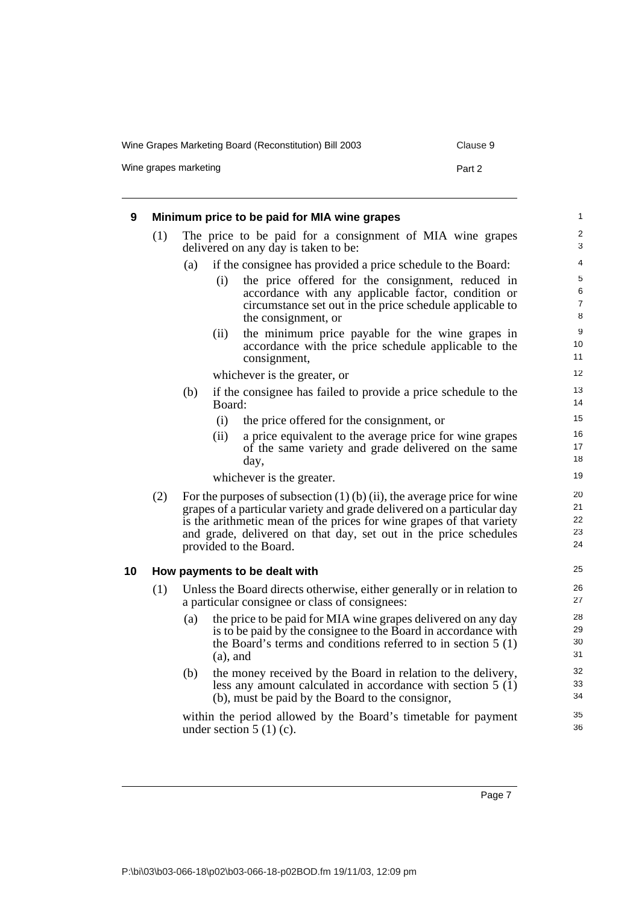Wine Grapes Marketing Board (Reconstitution) Bill 2003 Clause 9

Wine grapes marketing example of the state of the Part 2

| 9  |     |     |             | Minimum price to be paid for MIA wine grapes                                                                                                                                                                                                                                                                              | $\mathbf{1}$                               |
|----|-----|-----|-------------|---------------------------------------------------------------------------------------------------------------------------------------------------------------------------------------------------------------------------------------------------------------------------------------------------------------------------|--------------------------------------------|
|    | (1) |     |             | The price to be paid for a consignment of MIA wine grapes<br>delivered on any day is taken to be:                                                                                                                                                                                                                         | $\overline{c}$<br>3                        |
|    |     | (a) |             | if the consignee has provided a price schedule to the Board:                                                                                                                                                                                                                                                              | $\overline{\mathcal{L}}$                   |
|    |     |     | (i)         | the price offered for the consignment, reduced in<br>accordance with any applicable factor, condition or<br>circumstance set out in the price schedule applicable to<br>the consignment, or                                                                                                                               | 5<br>$\overline{6}$<br>$\overline{7}$<br>8 |
|    |     |     | (ii)        | the minimum price payable for the wine grapes in<br>accordance with the price schedule applicable to the<br>consignment,                                                                                                                                                                                                  | 9<br>10<br>11                              |
|    |     |     |             | whichever is the greater, or                                                                                                                                                                                                                                                                                              | 12                                         |
|    |     | (b) | Board:      | if the consignee has failed to provide a price schedule to the                                                                                                                                                                                                                                                            | 13<br>14                                   |
|    |     |     | (i)         | the price offered for the consignment, or                                                                                                                                                                                                                                                                                 | 15                                         |
|    |     |     | (ii)        | a price equivalent to the average price for wine grapes<br>of the same variety and grade delivered on the same<br>day,                                                                                                                                                                                                    | 16<br>17<br>18                             |
|    |     |     |             | whichever is the greater.                                                                                                                                                                                                                                                                                                 | 19                                         |
|    | (2) |     |             | For the purposes of subsection $(1)$ (b) (ii), the average price for wine<br>grapes of a particular variety and grade delivered on a particular day<br>is the arithmetic mean of the prices for wine grapes of that variety<br>and grade, delivered on that day, set out in the price schedules<br>provided to the Board. | 20<br>21<br>22<br>23<br>24                 |
| 10 |     |     |             | How payments to be dealt with                                                                                                                                                                                                                                                                                             | 25                                         |
|    | (1) |     |             | Unless the Board directs otherwise, either generally or in relation to<br>a particular consignee or class of consignees:                                                                                                                                                                                                  | 26<br>27                                   |
|    |     | (a) | $(a)$ , and | the price to be paid for MIA wine grapes delivered on any day<br>is to be paid by the consignee to the Board in accordance with<br>the Board's terms and conditions referred to in section $5(1)$                                                                                                                         | 28<br>29<br>30<br>31                       |
|    |     | (b) |             | the money received by the Board in relation to the delivery,<br>less any amount calculated in accordance with section $5(1)$<br>(b), must be paid by the Board to the consignor,                                                                                                                                          | 32<br>33<br>34                             |
|    |     |     |             | within the period allowed by the Board's timetable for payment<br>under section $5(1)(c)$ .                                                                                                                                                                                                                               | 35<br>36                                   |

Page 7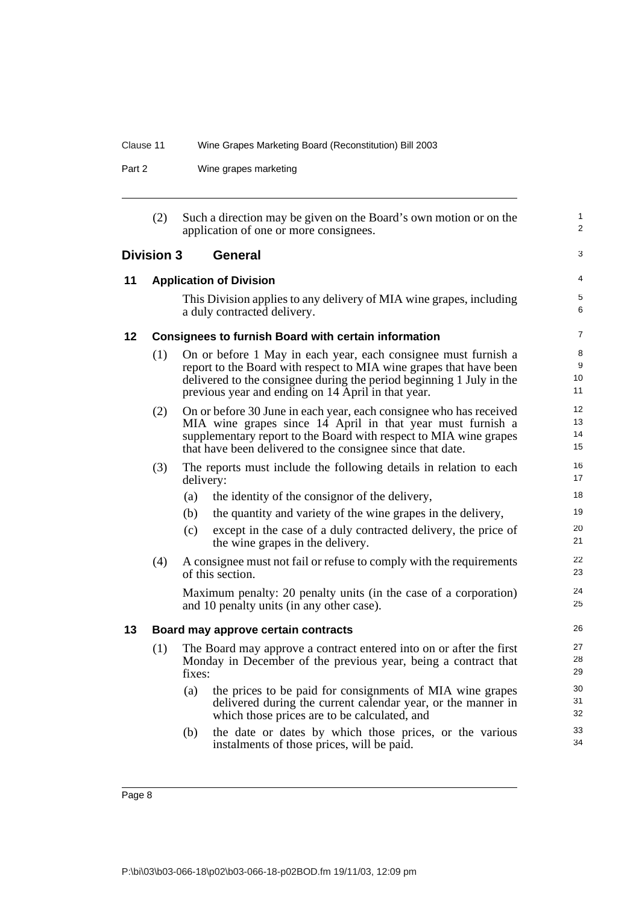Part 2 Wine grapes marketing

|    | (2)               |           | Such a direction may be given on the Board's own motion or on the<br>application of one or more consignees.                                                                                                                                                         | 1<br>2               |
|----|-------------------|-----------|---------------------------------------------------------------------------------------------------------------------------------------------------------------------------------------------------------------------------------------------------------------------|----------------------|
|    | <b>Division 3</b> |           | General                                                                                                                                                                                                                                                             | 3                    |
| 11 |                   |           | <b>Application of Division</b>                                                                                                                                                                                                                                      | $\overline{4}$       |
|    |                   |           | This Division applies to any delivery of MIA wine grapes, including<br>a duly contracted delivery.                                                                                                                                                                  | 5<br>6               |
| 12 |                   |           | <b>Consignees to furnish Board with certain information</b>                                                                                                                                                                                                         | $\overline{7}$       |
|    | (1)               |           | On or before 1 May in each year, each consignee must furnish a<br>report to the Board with respect to MIA wine grapes that have been<br>delivered to the consignee during the period beginning 1 July in the<br>previous year and ending on 14 April in that year.  | 8<br>9<br>10<br>11   |
|    | (2)               |           | On or before 30 June in each year, each consignee who has received<br>MIA wine grapes since 14 April in that year must furnish a<br>supplementary report to the Board with respect to MIA wine grapes<br>that have been delivered to the consignee since that date. | 12<br>13<br>14<br>15 |
|    | (3)               | delivery: | The reports must include the following details in relation to each                                                                                                                                                                                                  | 16<br>17             |
|    |                   | (a)       | the identity of the consignor of the delivery,                                                                                                                                                                                                                      | 18                   |
|    |                   | (b)       | the quantity and variety of the wine grapes in the delivery,                                                                                                                                                                                                        | 19                   |
|    |                   | (c)       | except in the case of a duly contracted delivery, the price of<br>the wine grapes in the delivery.                                                                                                                                                                  | 20<br>21             |
|    | (4)               |           | A consignee must not fail or refuse to comply with the requirements<br>of this section.                                                                                                                                                                             | 22<br>23             |
|    |                   |           | Maximum penalty: 20 penalty units (in the case of a corporation)<br>and 10 penalty units (in any other case).                                                                                                                                                       | 24<br>25             |
| 13 |                   |           | Board may approve certain contracts                                                                                                                                                                                                                                 | 26                   |
|    | (1)               | fixes:    | The Board may approve a contract entered into on or after the first<br>Monday in December of the previous year, being a contract that                                                                                                                               | 27<br>28<br>29       |
|    |                   | (a)       | the prices to be paid for consignments of MIA wine grapes<br>delivered during the current calendar year, or the manner in<br>which those prices are to be calculated, and                                                                                           | 30<br>31<br>32       |
|    |                   | (b)       | the date or dates by which those prices, or the various<br>instalments of those prices, will be paid.                                                                                                                                                               | 33<br>34             |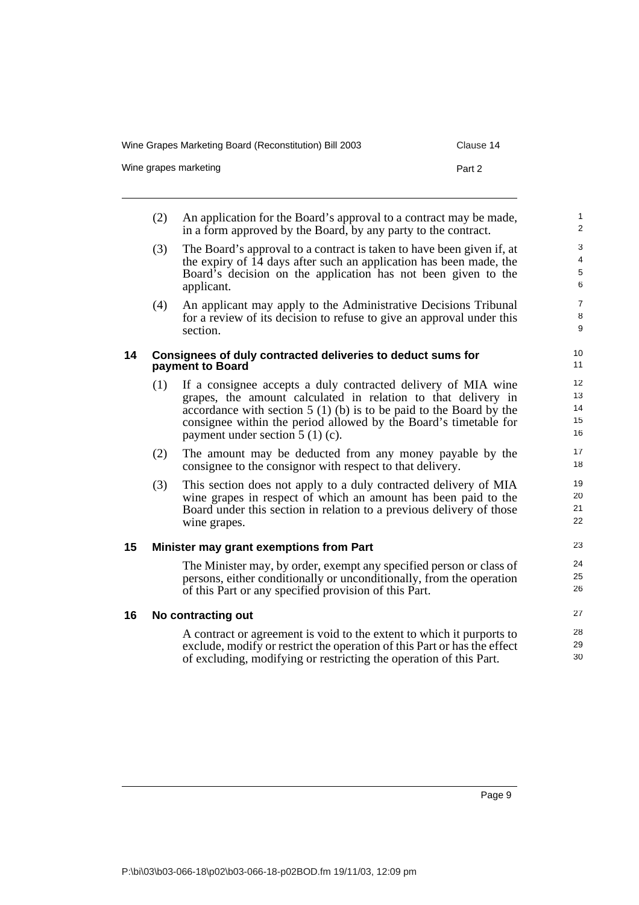|    | (2) | An application for the Board's approval to a contract may be made,<br>in a form approved by the Board, by any party to the contract.                                                                                                                                                                           | 1<br>$\overline{2}$        |
|----|-----|----------------------------------------------------------------------------------------------------------------------------------------------------------------------------------------------------------------------------------------------------------------------------------------------------------------|----------------------------|
|    | (3) | The Board's approval to a contract is taken to have been given if, at<br>the expiry of 14 days after such an application has been made, the<br>Board's decision on the application has not been given to the<br>applicant.                                                                                     | 3<br>4<br>5<br>6           |
|    | (4) | An applicant may apply to the Administrative Decisions Tribunal<br>for a review of its decision to refuse to give an approval under this<br>section.                                                                                                                                                           | $\overline{7}$<br>8<br>9   |
| 14 |     | Consignees of duly contracted deliveries to deduct sums for<br>payment to Board                                                                                                                                                                                                                                | 10<br>11                   |
|    | (1) | If a consignee accepts a duly contracted delivery of MIA wine<br>grapes, the amount calculated in relation to that delivery in<br>accordance with section $5(1)(b)$ is to be paid to the Board by the<br>consignee within the period allowed by the Board's timetable for<br>payment under section $5(1)(c)$ . | 12<br>13<br>14<br>15<br>16 |
|    | (2) | The amount may be deducted from any money payable by the<br>consignee to the consignor with respect to that delivery.                                                                                                                                                                                          | 17<br>18                   |
|    | (3) | This section does not apply to a duly contracted delivery of MIA<br>wine grapes in respect of which an amount has been paid to the<br>Board under this section in relation to a previous delivery of those<br>wine grapes.                                                                                     | 19<br>20<br>21<br>22       |
| 15 |     | Minister may grant exemptions from Part                                                                                                                                                                                                                                                                        | 23                         |
|    |     | The Minister may, by order, exempt any specified person or class of<br>persons, either conditionally or unconditionally, from the operation<br>of this Part or any specified provision of this Part.                                                                                                           | 24<br>25<br>26             |
| 16 |     | No contracting out                                                                                                                                                                                                                                                                                             | 27                         |
|    |     | A contract or agreement is void to the extent to which it purports to<br>exclude, modify or restrict the operation of this Part or has the effect<br>of excluding, modifying or restricting the operation of this Part.                                                                                        | 28<br>29<br>30             |

Wine Grapes Marketing Board (Reconstitution) Bill 2003 Clause 14

Wine grapes marketing example of the state of the Part 2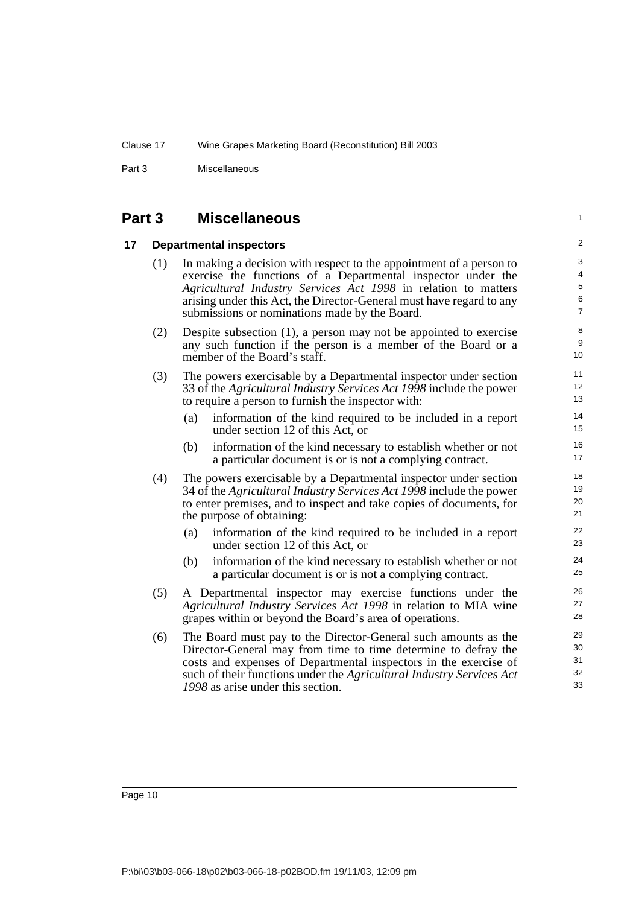Part 3 Miscellaneous

#### **Part 3 Miscellaneous**

#### **17 Departmental inspectors**

(1) In making a decision with respect to the appointment of a person to exercise the functions of a Departmental inspector under the *Agricultural Industry Services Act 1998* in relation to matters arising under this Act, the Director-General must have regard to any submissions or nominations made by the Board.

1

- (2) Despite subsection (1), a person may not be appointed to exercise any such function if the person is a member of the Board or a member of the Board's staff.
- (3) The powers exercisable by a Departmental inspector under section 33 of the *Agricultural Industry Services Act 1998* include the power to require a person to furnish the inspector with:
	- (a) information of the kind required to be included in a report under section 12 of this Act, or
	- (b) information of the kind necessary to establish whether or not a particular document is or is not a complying contract.
- (4) The powers exercisable by a Departmental inspector under section 34 of the *Agricultural Industry Services Act 1998* include the power to enter premises, and to inspect and take copies of documents, for the purpose of obtaining:
	- (a) information of the kind required to be included in a report under section 12 of this Act, or
	- (b) information of the kind necessary to establish whether or not a particular document is or is not a complying contract.
- (5) A Departmental inspector may exercise functions under the *Agricultural Industry Services Act 1998* in relation to MIA wine grapes within or beyond the Board's area of operations.
- (6) The Board must pay to the Director-General such amounts as the Director-General may from time to time determine to defray the costs and expenses of Departmental inspectors in the exercise of such of their functions under the *Agricultural Industry Services Act 1998* as arise under this section.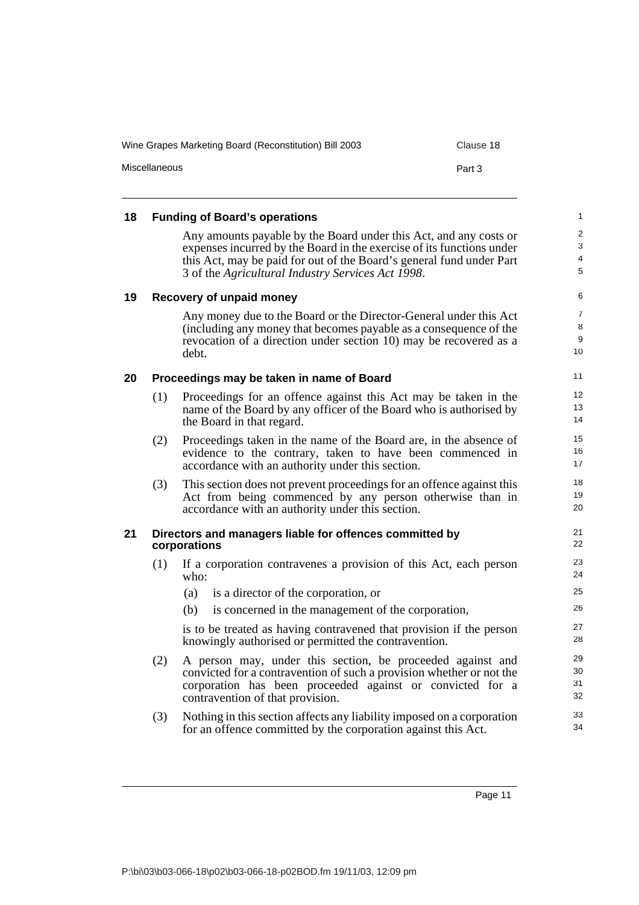|    | Miscellaneous | Part 3                                                                                                                                                                                                                                                                  |                                |
|----|---------------|-------------------------------------------------------------------------------------------------------------------------------------------------------------------------------------------------------------------------------------------------------------------------|--------------------------------|
| 18 |               | <b>Funding of Board's operations</b>                                                                                                                                                                                                                                    | 1                              |
|    |               | Any amounts payable by the Board under this Act, and any costs or<br>expenses incurred by the Board in the exercise of its functions under<br>this Act, may be paid for out of the Board's general fund under Part<br>3 of the Agricultural Industry Services Act 1998. | $\overline{c}$<br>3<br>4<br>5  |
| 19 |               | Recovery of unpaid money                                                                                                                                                                                                                                                | 6                              |
|    |               | Any money due to the Board or the Director-General under this Act<br>(including any money that becomes payable as a consequence of the<br>revocation of a direction under section 10) may be recovered as a<br>debt.                                                    | $\overline{7}$<br>8<br>9<br>10 |
| 20 |               | Proceedings may be taken in name of Board                                                                                                                                                                                                                               | 11                             |
|    | (1)           | Proceedings for an offence against this Act may be taken in the<br>name of the Board by any officer of the Board who is authorised by<br>the Board in that regard.                                                                                                      | 12<br>13<br>14                 |
|    | (2)           | Proceedings taken in the name of the Board are, in the absence of<br>evidence to the contrary, taken to have been commenced in<br>accordance with an authority under this section.                                                                                      | 15<br>16<br>17                 |
|    | (3)           | This section does not prevent proceedings for an offence against this<br>Act from being commenced by any person otherwise than in<br>accordance with an authority under this section.                                                                                   | 18<br>19<br>20                 |
| 21 |               | Directors and managers liable for offences committed by<br>corporations                                                                                                                                                                                                 | 21<br>22                       |
|    | (1)           | If a corporation contravenes a provision of this Act, each person<br>who:                                                                                                                                                                                               | 23<br>24                       |
|    |               | is a director of the corporation, or<br>(a)                                                                                                                                                                                                                             | 25                             |
|    |               | is concerned in the management of the corporation,<br>(b)                                                                                                                                                                                                               | 26                             |
|    |               | is to be treated as having contravened that provision if the person<br>knowingly authorised or permitted the contravention.                                                                                                                                             | 27<br>28                       |
|    | (2)           | A person may, under this section, be proceeded against and<br>convicted for a contravention of such a provision whether or not the<br>corporation has been proceeded against or convicted for a<br>contravention of that provision.                                     | 29<br>30<br>31<br>32           |
|    | (3)           | Nothing in this section affects any liability imposed on a corporation<br>for an offence committed by the corporation against this Act.                                                                                                                                 | 33<br>34                       |

Wine Grapes Marketing Board (Reconstitution) Bill 2003 Clause 18

Page 11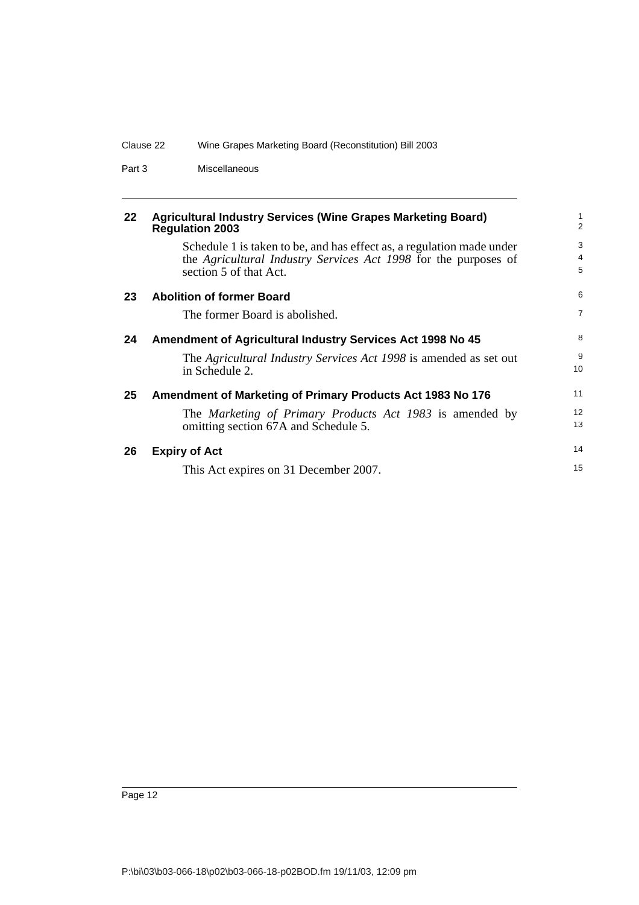| Clause 22 | Wine Grapes Marketing Board (Reconstitution) Bill 2003 |
|-----------|--------------------------------------------------------|
|-----------|--------------------------------------------------------|

Part 3 Miscellaneous

| 22 | <b>Agricultural Industry Services (Wine Grapes Marketing Board)</b> |
|----|---------------------------------------------------------------------|
|    | <b>Regulation 2003</b>                                              |

Schedule 1 is taken to be, and has effect as, a regulation made under the *Agricultural Industry Services Act 1998* for the purposes of section 5 of that Act.

| 23 | <b>Abolition of former Board</b>                                                                 | 6              |
|----|--------------------------------------------------------------------------------------------------|----------------|
|    | The former Board is abolished.                                                                   | $\overline{7}$ |
| 24 | Amendment of Agricultural Industry Services Act 1998 No 45                                       | 8              |
|    | The Agricultural Industry Services Act 1998 is amended as set out<br>in Schedule 2.              | 9<br>10        |
| 25 | Amendment of Marketing of Primary Products Act 1983 No 176                                       | 11             |
|    | The Marketing of Primary Products Act 1983 is amended by<br>omitting section 67A and Schedule 5. | 12<br>13       |
| 26 | <b>Expiry of Act</b>                                                                             | 14             |
|    | This Act expires on 31 December 2007.                                                            | 15             |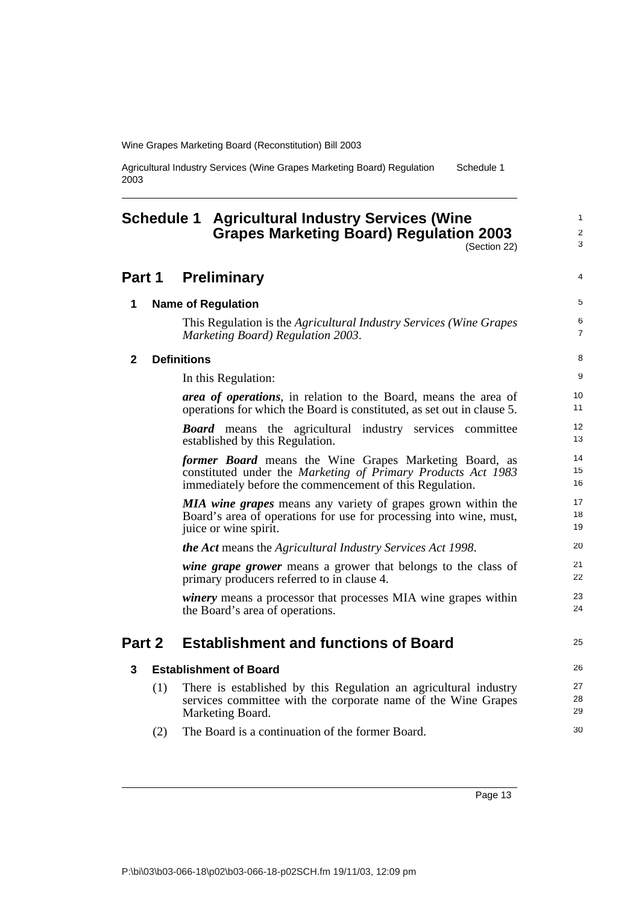Agricultural Industry Services (Wine Grapes Marketing Board) Regulation 2003 Schedule 1

## **Schedule 1 Agricultural Industry Services (Wine Grapes Marketing Board) Regulation 2003**

(Section 22)

1  $\mathfrak{p}$ 3

#### **Part 1 Preliminary 1 Name of Regulation** This Regulation is the *Agricultural Industry Services (Wine Grapes Marketing Board) Regulation 2003*. **2 Definitions** In this Regulation: *area of operations*, in relation to the Board, means the area of operations for which the Board is constituted, as set out in clause 5. *Board* means the agricultural industry services committee established by this Regulation. *former Board* means the Wine Grapes Marketing Board, as constituted under the *Marketing of Primary Products Act 1983* immediately before the commencement of this Regulation. *MIA wine grapes* means any variety of grapes grown within the Board's area of operations for use for processing into wine, must, juice or wine spirit. *the Act* means the *Agricultural Industry Services Act 1998*. *wine grape grower* means a grower that belongs to the class of primary producers referred to in clause 4. *winery* means a processor that processes MIA wine grapes within the Board's area of operations. **Part 2 Establishment and functions of Board 3 Establishment of Board** (1) There is established by this Regulation an agricultural industry services committee with the corporate name of the Wine Grapes Marketing Board. (2) The Board is a continuation of the former Board. 4 5 6 7 8 9 10 11 12 13 14 15 16 17 18 19 20 21 22 23 24 25 26 27 28 29 30

Page 13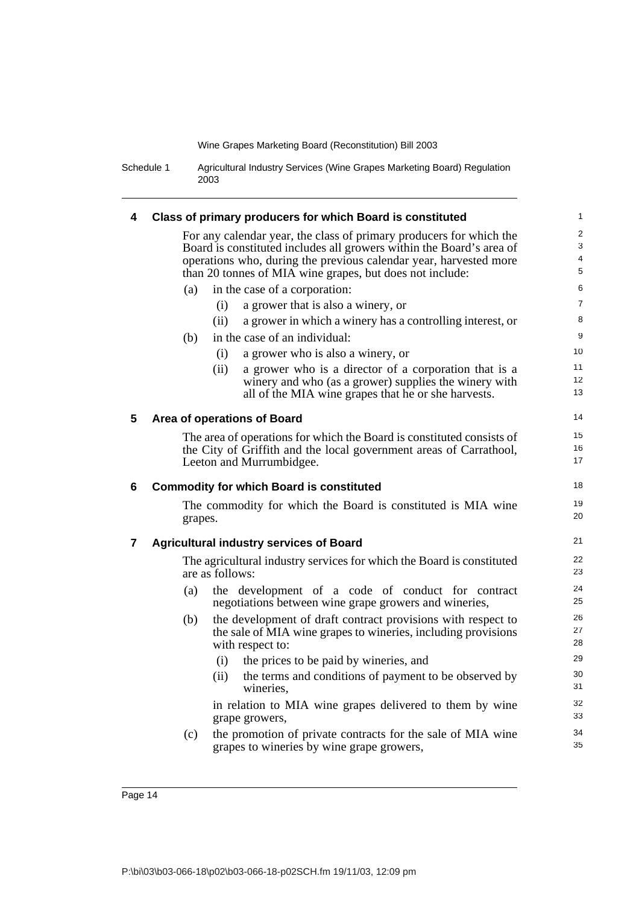Schedule 1 Agricultural Industry Services (Wine Grapes Marketing Board) Regulation 2003

| 4                       |         |                                                                                                                                                                                                                                                                              |                                  |
|-------------------------|---------|------------------------------------------------------------------------------------------------------------------------------------------------------------------------------------------------------------------------------------------------------------------------------|----------------------------------|
|                         |         | Class of primary producers for which Board is constituted                                                                                                                                                                                                                    | 1                                |
|                         |         | For any calendar year, the class of primary producers for which the<br>Board is constituted includes all growers within the Board's area of<br>operations who, during the previous calendar year, harvested more<br>than 20 tonnes of MIA wine grapes, but does not include: | $\mathbf{2}$<br>3<br>4<br>5      |
|                         | (a)     | in the case of a corporation:                                                                                                                                                                                                                                                | 6                                |
|                         |         | (i)<br>a grower that is also a winery, or                                                                                                                                                                                                                                    | $\overline{7}$                   |
|                         |         | (ii)<br>a grower in which a winery has a controlling interest, or                                                                                                                                                                                                            | 8                                |
|                         | (b)     | in the case of an individual:                                                                                                                                                                                                                                                | 9                                |
|                         |         | (i)<br>a grower who is also a winery, or                                                                                                                                                                                                                                     | 10                               |
|                         |         | (ii)<br>a grower who is a director of a corporation that is a                                                                                                                                                                                                                | 11                               |
|                         |         | winery and who (as a grower) supplies the winery with<br>all of the MIA wine grapes that he or she harvests.                                                                                                                                                                 | 12<br>13                         |
| $5\phantom{1}$          |         | Area of operations of Board                                                                                                                                                                                                                                                  | 14                               |
|                         |         | The area of operations for which the Board is constituted consists of                                                                                                                                                                                                        | 15                               |
|                         |         | the City of Griffith and the local government areas of Carrathool,                                                                                                                                                                                                           | 16                               |
|                         |         | Leeton and Murrumbidgee.                                                                                                                                                                                                                                                     | 17                               |
| 6                       |         | <b>Commodity for which Board is constituted</b>                                                                                                                                                                                                                              | 18                               |
|                         | grapes. | The commodity for which the Board is constituted is MIA wine                                                                                                                                                                                                                 | 19<br>20                         |
| $\overline{\mathbf{7}}$ |         | <b>Agricultural industry services of Board</b>                                                                                                                                                                                                                               | 21                               |
|                         |         | The agricultural industry services for which the Board is constituted<br>are as follows:                                                                                                                                                                                     | 22<br>23                         |
|                         | (a)     | the development of a code of conduct for contract                                                                                                                                                                                                                            | 24<br>25                         |
|                         |         | negotiations between wine grape growers and wineries,                                                                                                                                                                                                                        |                                  |
|                         | (b)     | the development of draft contract provisions with respect to<br>the sale of MIA wine grapes to wineries, including provisions                                                                                                                                                |                                  |
|                         |         | with respect to:<br>the prices to be paid by wineries, and<br>(i)                                                                                                                                                                                                            |                                  |
|                         |         | the terms and conditions of payment to be observed by<br>(ii)<br>wineries.                                                                                                                                                                                                   | 26<br>27<br>28<br>29<br>30<br>31 |
|                         |         | in relation to MIA wine grapes delivered to them by wine<br>grape growers,                                                                                                                                                                                                   | 32<br>33                         |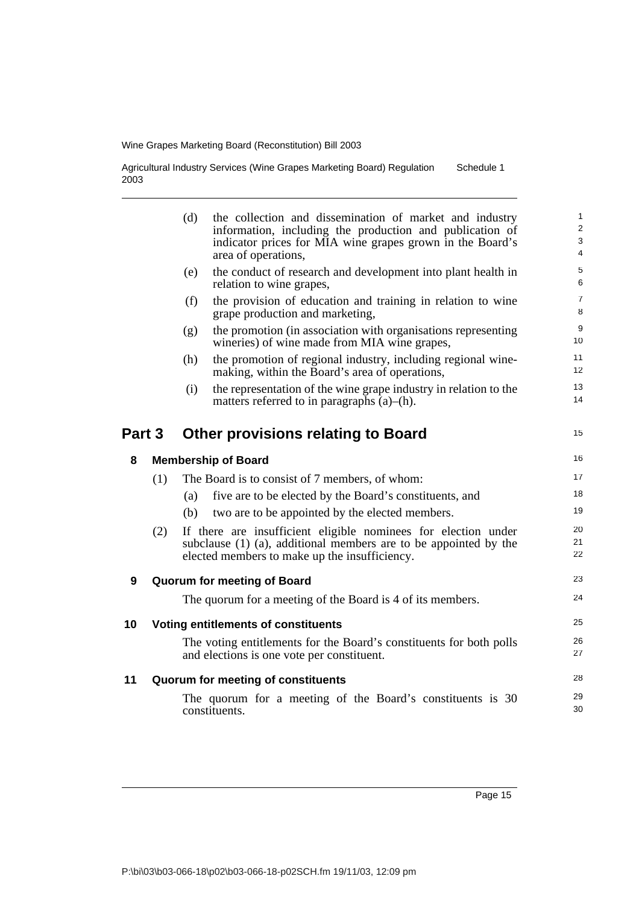Agricultural Industry Services (Wine Grapes Marketing Board) Regulation 2003 Schedule 1

|        |     | (d) | the collection and dissemination of market and industry<br>information, including the production and publication of<br>indicator prices for MIA wine grapes grown in the Board's<br>area of operations, | $\mathbf{1}$<br>$\boldsymbol{2}$<br>3<br>$\overline{4}$ |
|--------|-----|-----|---------------------------------------------------------------------------------------------------------------------------------------------------------------------------------------------------------|---------------------------------------------------------|
|        |     | (e) | the conduct of research and development into plant health in<br>relation to wine grapes,                                                                                                                | $\,$ 5 $\,$<br>6                                        |
|        |     | (f) | the provision of education and training in relation to wine<br>grape production and marketing,                                                                                                          | $\overline{7}$<br>8                                     |
|        |     | (g) | the promotion (in association with organisations representing<br>wineries) of wine made from MIA wine grapes,                                                                                           | $\boldsymbol{9}$<br>10                                  |
|        |     | (h) | the promotion of regional industry, including regional wine-<br>making, within the Board's area of operations,                                                                                          | 11<br>12                                                |
|        |     | (i) | the representation of the wine grape industry in relation to the<br>matters referred to in paragraphs $(a)$ – $(h)$ .                                                                                   | 13<br>14                                                |
| Part 3 |     |     | <b>Other provisions relating to Board</b>                                                                                                                                                               | 15                                                      |
| 8      |     |     | <b>Membership of Board</b>                                                                                                                                                                              | 16                                                      |
|        | (1) |     | The Board is to consist of 7 members, of whom:                                                                                                                                                          | 17                                                      |
|        |     | (a) | five are to be elected by the Board's constituents, and                                                                                                                                                 | 18                                                      |
|        |     | (b) | two are to be appointed by the elected members.                                                                                                                                                         | 19                                                      |
|        | (2) |     | If there are insufficient eligible nominees for election under<br>subclause (1) (a), additional members are to be appointed by the<br>elected members to make up the insufficiency.                     | 20<br>21<br>22                                          |
| 9      |     |     | <b>Quorum for meeting of Board</b>                                                                                                                                                                      | 23                                                      |
|        |     |     | The quorum for a meeting of the Board is 4 of its members.                                                                                                                                              | 24                                                      |
| 10     |     |     | <b>Voting entitlements of constituents</b>                                                                                                                                                              | 25                                                      |
|        |     |     | The voting entitlements for the Board's constituents for both polls<br>and elections is one vote per constituent.                                                                                       | 26<br>27                                                |
| 11     |     |     | Quorum for meeting of constituents                                                                                                                                                                      | 28                                                      |
|        |     |     | The quorum for a meeting of the Board's constituents is 30<br>constituents.                                                                                                                             | 29<br>30                                                |

Page 15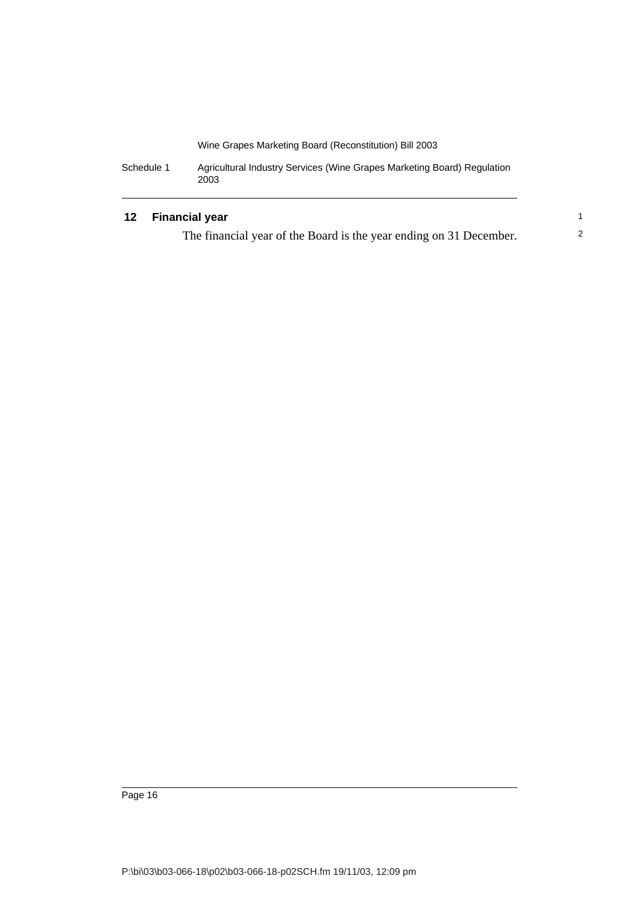| Schedule 1 | Agricultural Industry Services (Wine Grapes Marketing Board) Regulation |
|------------|-------------------------------------------------------------------------|
|            | 2003                                                                    |

### **12 Financial year**

The financial year of the Board is the year ending on 31 December.

1 2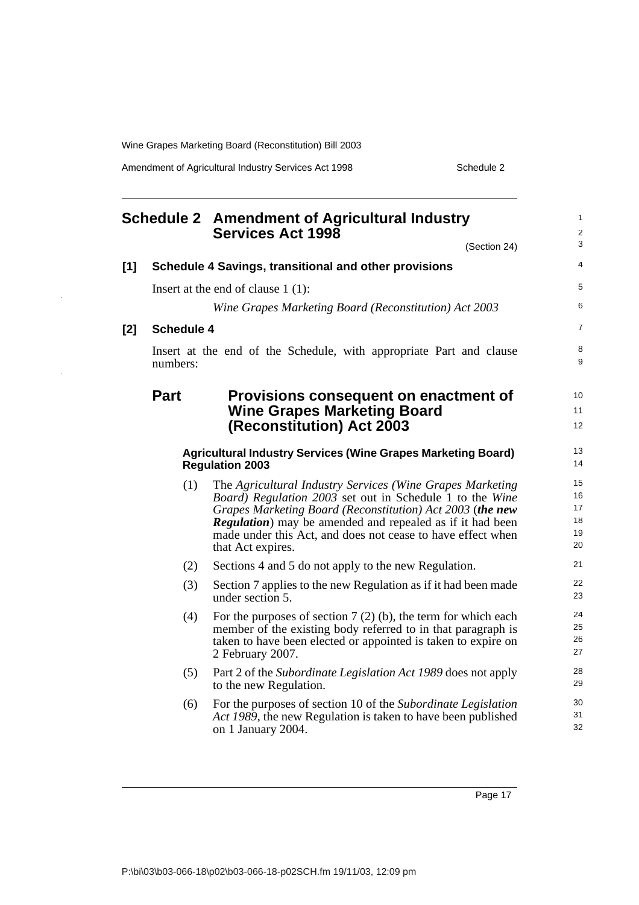Amendment of Agricultural Industry Services Act 1998 Schedule 2

|     |                   | <b>Schedule 2 Amendment of Agricultural Industry</b><br><b>Services Act 1998</b>                                                                                                                                                                                                                                                                    | $\mathbf{1}$<br>$\overline{c}$   |
|-----|-------------------|-----------------------------------------------------------------------------------------------------------------------------------------------------------------------------------------------------------------------------------------------------------------------------------------------------------------------------------------------------|----------------------------------|
|     |                   | (Section 24)                                                                                                                                                                                                                                                                                                                                        | 3                                |
| [1] |                   | Schedule 4 Savings, transitional and other provisions                                                                                                                                                                                                                                                                                               | 4                                |
|     |                   | Insert at the end of clause $1(1)$ :                                                                                                                                                                                                                                                                                                                | 5                                |
|     |                   | Wine Grapes Marketing Board (Reconstitution) Act 2003                                                                                                                                                                                                                                                                                               | 6                                |
| [2] | <b>Schedule 4</b> |                                                                                                                                                                                                                                                                                                                                                     | 7                                |
|     | numbers:          | Insert at the end of the Schedule, with appropriate Part and clause                                                                                                                                                                                                                                                                                 | 8<br>9                           |
|     | <b>Part</b>       | Provisions consequent on enactment of<br><b>Wine Grapes Marketing Board</b><br><b>(Reconstitution) Act 2003</b>                                                                                                                                                                                                                                     | 10<br>11<br>12                   |
|     |                   | <b>Agricultural Industry Services (Wine Grapes Marketing Board)</b><br><b>Regulation 2003</b>                                                                                                                                                                                                                                                       | 13<br>14                         |
|     | (1)               | The Agricultural Industry Services (Wine Grapes Marketing<br><i>Board</i> ) Regulation 2003 set out in Schedule 1 to the Wine<br>Grapes Marketing Board (Reconstitution) Act 2003 (the new<br><b>Regulation</b> ) may be amended and repealed as if it had been<br>made under this Act, and does not cease to have effect when<br>that Act expires. | 15<br>16<br>17<br>18<br>19<br>20 |
|     | (2)               | Sections 4 and 5 do not apply to the new Regulation.                                                                                                                                                                                                                                                                                                | 21                               |
|     | (3)               | Section 7 applies to the new Regulation as if it had been made<br>under section 5.                                                                                                                                                                                                                                                                  | 22<br>23                         |
|     | (4)               | For the purposes of section $7(2)$ (b), the term for which each<br>member of the existing body referred to in that paragraph is<br>taken to have been elected or appointed is taken to expire on<br>2 February 2007.                                                                                                                                | 24<br>25<br>26<br>27             |
|     | (5)               | Part 2 of the Subordinate Legislation Act 1989 does not apply<br>to the new Regulation.                                                                                                                                                                                                                                                             | 28<br>29                         |
|     | (6)               | For the purposes of section 10 of the Subordinate Legislation<br>Act 1989, the new Regulation is taken to have been published<br>on 1 January 2004.                                                                                                                                                                                                 | 30<br>31<br>32                   |

Page 17